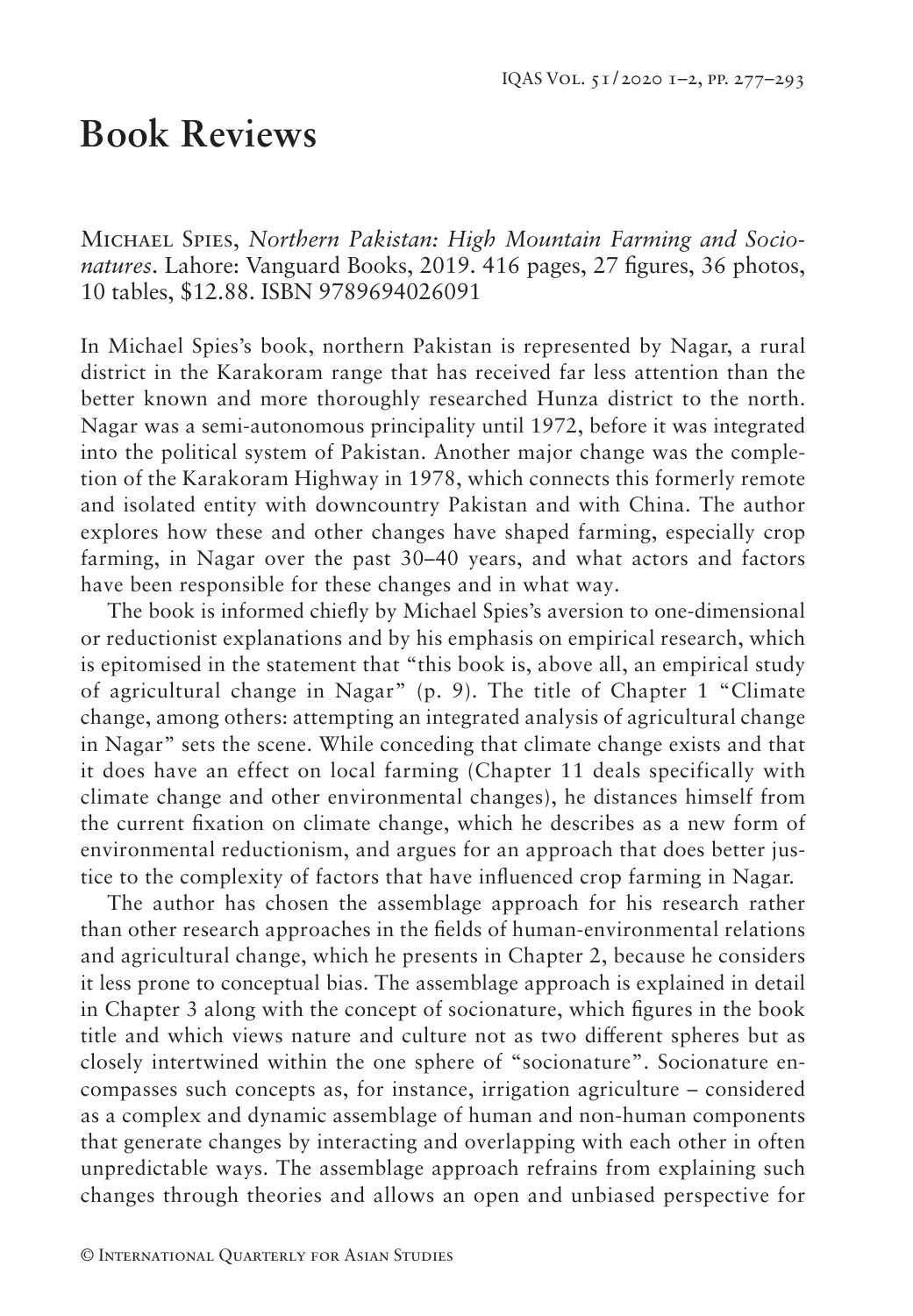## **Book Reviews**

Michael Spies, *Northern Pakistan: High Mountain Farming and Socionatures*. Lahore: Vanguard Books, 2019. 416 pages, 27 figures, 36 photos, 10 tables, \$12.88. ISBN 9789694026091

In Michael Spies's book, northern Pakistan is represented by Nagar, a rural district in the Karakoram range that has received far less attention than the better known and more thoroughly researched Hunza district to the north. Nagar was a semi-autonomous principality until 1972, before it was integrated into the political system of Pakistan. Another major change was the completion of the Karakoram Highway in 1978, which connects this formerly remote and isolated entity with downcountry Pakistan and with China. The author explores how these and other changes have shaped farming, especially crop farming, in Nagar over the past 30–40 years, and what actors and factors have been responsible for these changes and in what way.

The book is informed chiefly by Michael Spies's aversion to one-dimensional or reductionist explanations and by his emphasis on empirical research, which is epitomised in the statement that "this book is, above all, an empirical study of agricultural change in Nagar" (p. 9). The title of Chapter 1 "Climate change, among others: attempting an integrated analysis of agricultural change in Nagar" sets the scene. While conceding that climate change exists and that it does have an effect on local farming (Chapter 11 deals specifically with climate change and other environmental changes), he distances himself from the current fixation on climate change, which he describes as a new form of environmental reductionism, and argues for an approach that does better justice to the complexity of factors that have influenced crop farming in Nagar.

The author has chosen the assemblage approach for his research rather than other research approaches in the fields of human-environmental relations and agricultural change, which he presents in Chapter 2, because he considers it less prone to conceptual bias. The assemblage approach is explained in detail in Chapter 3 along with the concept of socionature, which figures in the book title and which views nature and culture not as two different spheres but as closely intertwined within the one sphere of "socionature". Socionature encompasses such concepts as, for instance, irrigation agriculture – considered as a complex and dynamic assemblage of human and non-human components that generate changes by interacting and overlapping with each other in often unpredictable ways. The assemblage approach refrains from explaining such changes through theories and allows an open and unbiased perspective for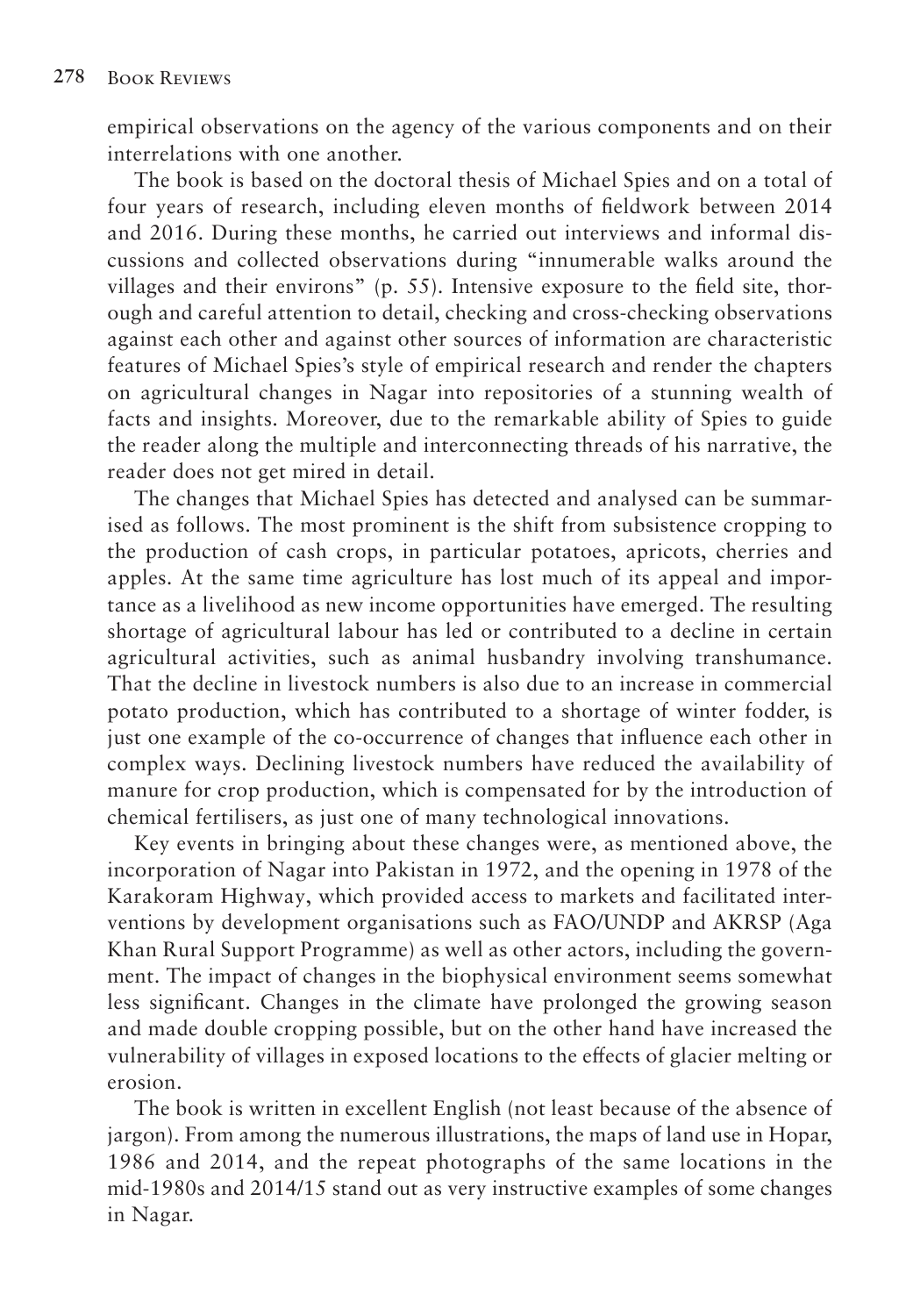empirical observations on the agency of the various components and on their interrelations with one another.

The book is based on the doctoral thesis of Michael Spies and on a total of four years of research, including eleven months of fieldwork between 2014 and 2016. During these months, he carried out interviews and informal discussions and collected observations during "innumerable walks around the villages and their environs" (p. 55). Intensive exposure to the field site, thorough and careful attention to detail, checking and cross-checking observations against each other and against other sources of information are characteristic features of Michael Spies's style of empirical research and render the chapters on agricultural changes in Nagar into repositories of a stunning wealth of facts and insights. Moreover, due to the remarkable ability of Spies to guide the reader along the multiple and interconnecting threads of his narrative, the reader does not get mired in detail.

The changes that Michael Spies has detected and analysed can be summarised as follows. The most prominent is the shift from subsistence cropping to the production of cash crops, in particular potatoes, apricots, cherries and apples. At the same time agriculture has lost much of its appeal and importance as a livelihood as new income opportunities have emerged. The resulting shortage of agricultural labour has led or contributed to a decline in certain agricultural activities, such as animal husbandry involving transhumance. That the decline in livestock numbers is also due to an increase in commercial potato production, which has contributed to a shortage of winter fodder, is just one example of the co-occurrence of changes that influence each other in complex ways. Declining livestock numbers have reduced the availability of manure for crop production, which is compensated for by the introduction of chemical fertilisers, as just one of many technological innovations.

Key events in bringing about these changes were, as mentioned above, the incorporation of Nagar into Pakistan in 1972, and the opening in 1978 of the Karakoram Highway, which provided access to markets and facilitated interventions by development organisations such as FAO/UNDP and AKRSP (Aga Khan Rural Support Programme) as well as other actors, including the government. The impact of changes in the biophysical environment seems somewhat less significant. Changes in the climate have prolonged the growing season and made double cropping possible, but on the other hand have increased the vulnerability of villages in exposed locations to the effects of glacier melting or erosion.

The book is written in excellent English (not least because of the absence of jargon). From among the numerous illustrations, the maps of land use in Hopar, 1986 and 2014, and the repeat photographs of the same locations in the mid-1980s and 2014/15 stand out as very instructive examples of some changes in Nagar.